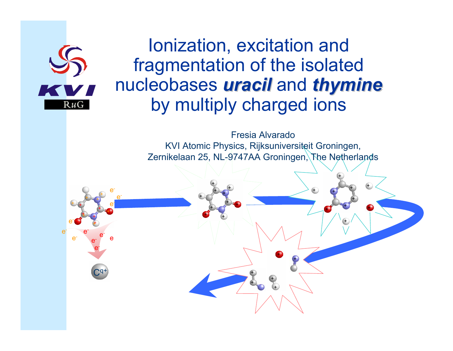

### Ionization, excitation and fragmentation of the isolated nucleobases *uracil* and *thymine thymine* by multiply charged ions

Fresia Alvarado KVI Atomic Physics, Rijksuniversiteit G roningen, Zernikelaan 25, NL-9747AA Groningen, The Netherlands

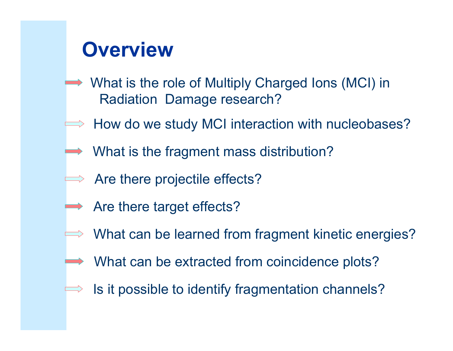# **Overview**

- **→ What is the role of Multiply Charged Ions (MCI) in** Radiation Damage research?
- $\Rightarrow$  How do we study MCI interaction with nucleobases?
- $\rightarrow$  What is the fragment mass distribution?
- $\implies$  Are there projectile effects?
- $\rightarrow$  Are there target effects?
	- What can be learned from fragment kinetic energies?
	- **→ What can be extracted from coincidence plots?** 
		- Is it possible to identify fragmentation channels?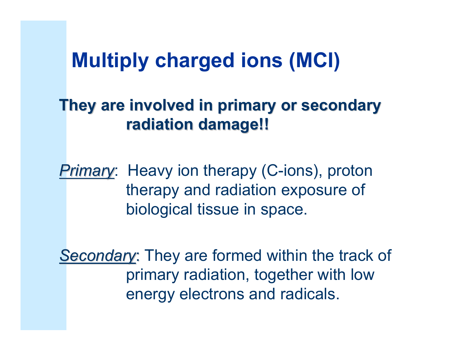## **Multiply charged ions (MCI)**

### **They are involved in primary or secondary They are involved in primary or secondary radiation damage!! radiation damage!!**

*Primary*: Heavy ion therapy (C-ions), proton therapy and radiation exposure of biological tissue in space.

**Secondary: They are formed within the track of** primary radiation, together with low energy electrons and radicals.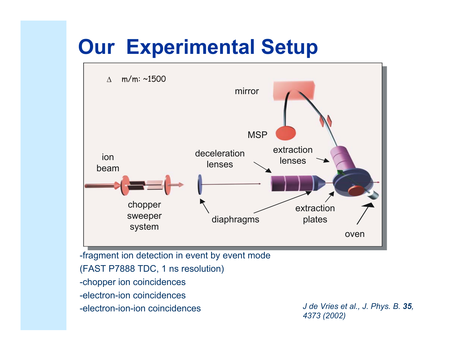# **Our Experimental Setup**



-fragment ion detection in event by event mode (FAST P7888 TDC, 1 ns r esolution) -chopper ion coincidences -electron-ion coincidences-electron-ion-ion coincidences

 *J de Vries et al., J. Phys. B. 35, 4373 (2002)*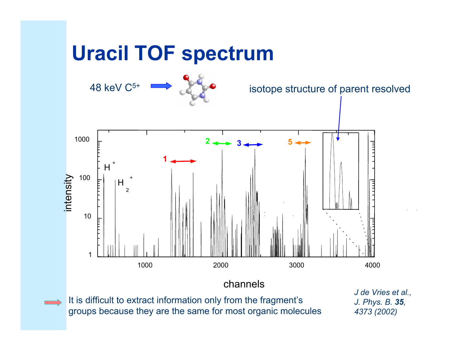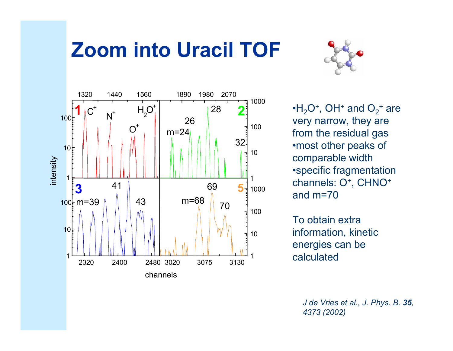# **Zoom into Uracil TOF**





 $\cdot$ H $_2$ O $^+$ , OH $^+$  and O $_2$ + are very narrow, they are from the residual gas •most other peaks of comparable width •specific fragmentation channels: O<sup>+</sup>, CHNO<sup>+</sup> and m=70

To obtain extra information, kinetic energies can be calculated

> *J de Vries et al., J. Phys. B. 35, 4373 (2002)*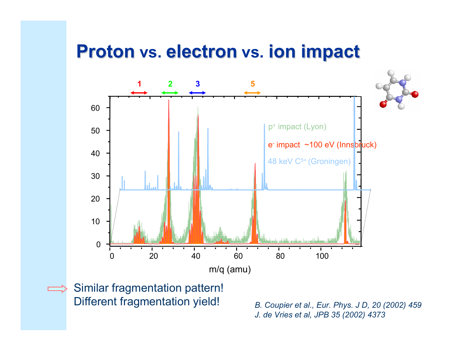### **Proton vs. electron electron vs. ion impact ion impact**



Similar fragmentation pattern! Different fragmentation yield!

*B. Coupier et al., Eur. Phys. J D, 20 (2002) 459 J. de Vries et al, JPB 35 (2002) 4373*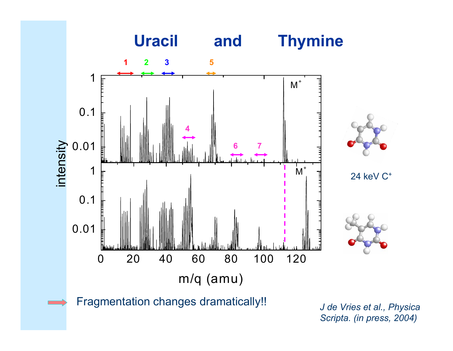

*J de Vries et al., Physica Scripta. (in press, 2004)*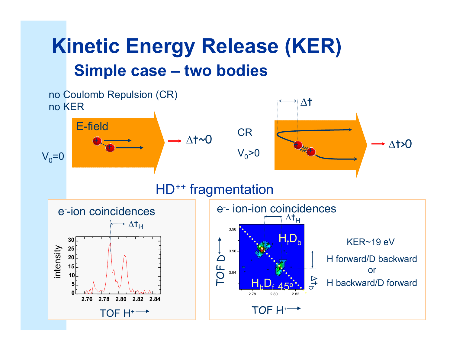## **Kinetic Energy Release (KER) Simple case – two bodies**

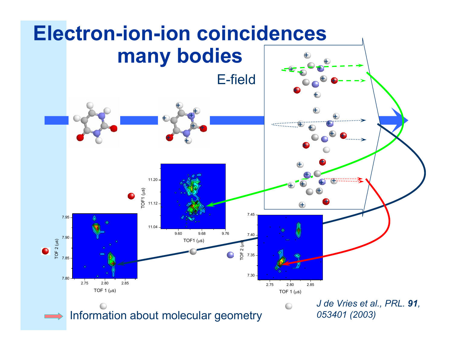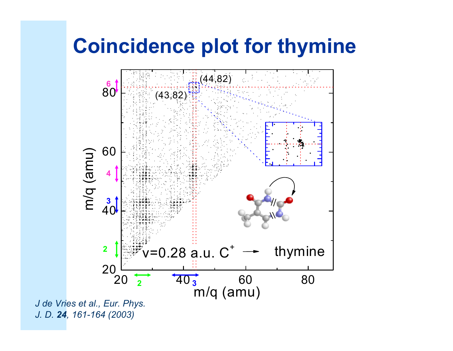# **Coincidence plot for thymine**



*J. D. 24, 161-164 (2003)*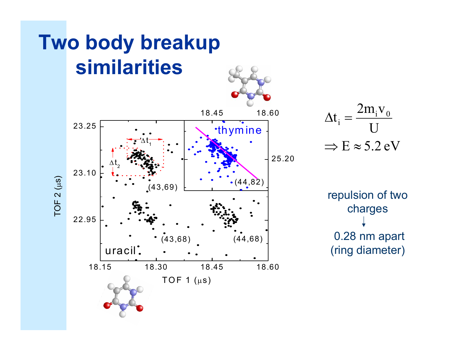

 $\Rightarrow E \approx 5.2 \text{ eV}$ U $t_i = \frac{2m_i v_0}{l}$  $\Delta \mathfrak{t}_\colon =$ 

repulsion of two charges 0.28 nm apart (ring diameter)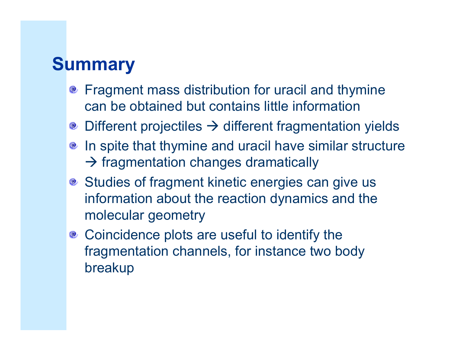## **Summary**

- **•** Fragment mass distribution for uracil and thymine can be obtained but contains little information
- $\bullet$  Different projectiles  $\rightarrow$  different fragmentation yields
- **•** In spite that thymine and uracil have similar structure  $\rightarrow$  fragmentation changes dramatically
- **Studies of fragment kinetic energies can give us** information about the reaction dynamics and the molecular geometry
- <sup>®</sup> Coincidence plots are useful to identify the fragmentation channels, for instance two body breakup